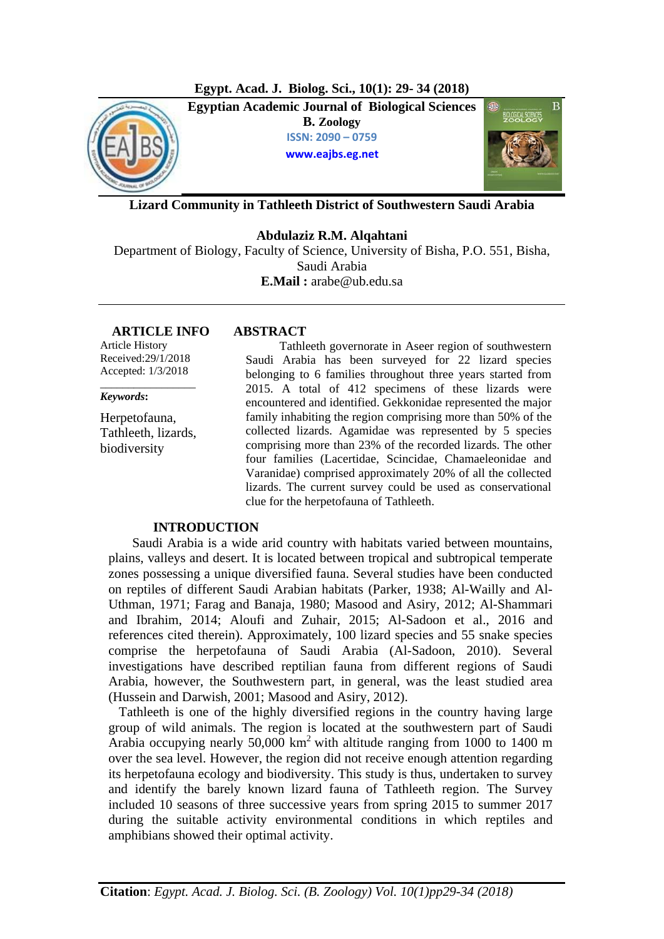

**Lizard Community in Tathleeth District of Southwestern Saudi Arabia**

**Abdulaziz R.M. Alqahtani**  Department of Biology, Faculty of Science, University of Bisha, P.O. 551, Bisha, Saudi Arabia **E.Mail :** arabe@ub.edu.sa

### **ARTICLE INFO ABSTRACT**

Article History Received:29/1/2018 Accepted: 1/3/2018

*\_\_\_\_\_\_\_\_\_\_\_\_\_\_\_\_\_*

*Keywords***:** 

Herpetofauna, Tathleeth, lizards, biodiversity

 Tathleeth governorate in Aseer region of southwestern Saudi Arabia has been surveyed for 22 lizard species belonging to 6 families throughout three years started from 2015. A total of 412 specimens of these lizards were encountered and identified. Gekkonidae represented the major family inhabiting the region comprising more than 50% of the collected lizards. Agamidae was represented by 5 species comprising more than 23% of the recorded lizards. The other four families (Lacertidae, Scincidae, Chamaeleonidae and Varanidae) comprised approximately 20% of all the collected lizards. The current survey could be used as conservational clue for the herpetofauna of Tathleeth.

## **INTRODUCTION**

 Saudi Arabia is a wide arid country with habitats varied between mountains, plains, valleys and desert. It is located between tropical and subtropical temperate zones possessing a unique diversified fauna. Several studies have been conducted on reptiles of different Saudi Arabian habitats (Parker, 1938; Al-Wailly and Al-Uthman, 1971; Farag and Banaja, 1980; Masood and Asiry, 2012; Al-Shammari and Ibrahim, 2014; Aloufi and Zuhair, 2015; Al-Sadoon et al., 2016 and references cited therein). Approximately, 100 lizard species and 55 snake species comprise the herpetofauna of Saudi Arabia (Al-Sadoon, 2010). Several investigations have described reptilian fauna from different regions of Saudi Arabia, however, the Southwestern part, in general, was the least studied area (Hussein and Darwish, 2001; Masood and Asiry, 2012).

Tathleeth is one of the highly diversified regions in the country having large group of wild animals. The region is located at the southwestern part of Saudi Arabia occupying nearly  $50,000$  km<sup>2</sup> with altitude ranging from 1000 to 1400 m over the sea level. However, the region did not receive enough attention regarding its herpetofauna ecology and biodiversity. This study is thus, undertaken to survey and identify the barely known lizard fauna of Tathleeth region. The Survey included 10 seasons of three successive years from spring 2015 to summer 2017 during the suitable activity environmental conditions in which reptiles and amphibians showed their optimal activity.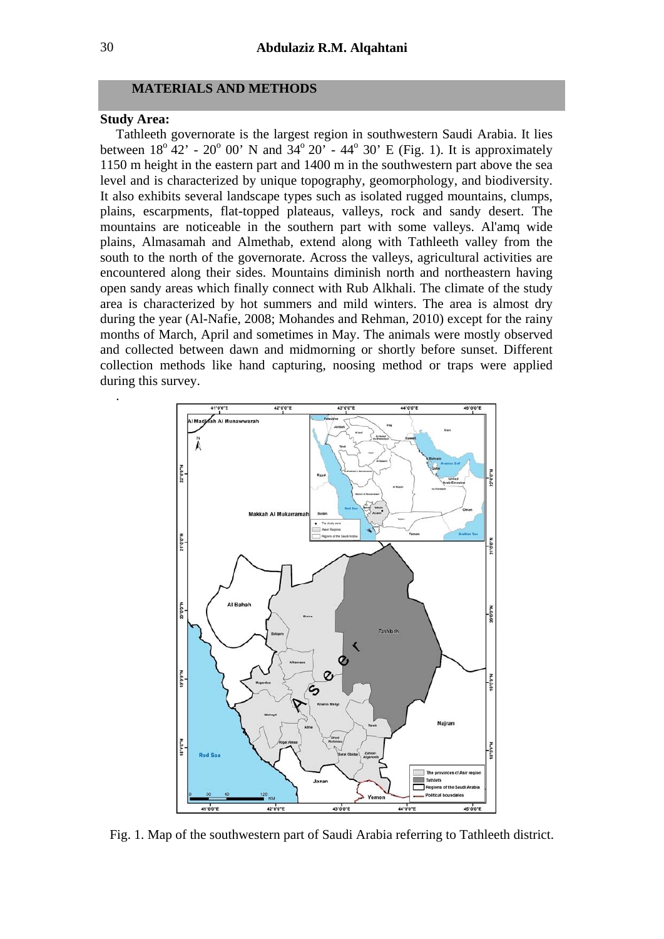### **MATERIALS AND METHODS**

### **Study Area:**

.

Tathleeth governorate is the largest region in southwestern Saudi Arabia. It lies between  $18^{\circ}$  42' - 20<sup>°</sup> 00' N and  $34^{\circ}$  20' - 44<sup>°</sup> 30' E (Fig. 1). It is approximately 1150 m height in the eastern part and 1400 m in the southwestern part above the sea level and is characterized by unique topography, geomorphology, and biodiversity. It also exhibits several landscape types such as isolated rugged mountains, clumps, plains, escarpments, flat-topped plateaus, valleys, rock and sandy desert. The mountains are noticeable in the southern part with some valleys. Al'amq wide plains, Almasamah and Almethab, extend along with Tathleeth valley from the south to the north of the governorate. Across the valleys, agricultural activities are encountered along their sides. Mountains diminish north and northeastern having open sandy areas which finally connect with Rub Alkhali. The climate of the study area is characterized by hot summers and mild winters. The area is almost dry during the year (Al-Nafie, 2008; Mohandes and Rehman, 2010) except for the rainy months of March, April and sometimes in May. The animals were mostly observed and collected between dawn and midmorning or shortly before sunset. Different collection methods like hand capturing, noosing method or traps were applied during this survey.



Fig. 1. Map of the southwestern part of Saudi Arabia referring to Tathleeth district.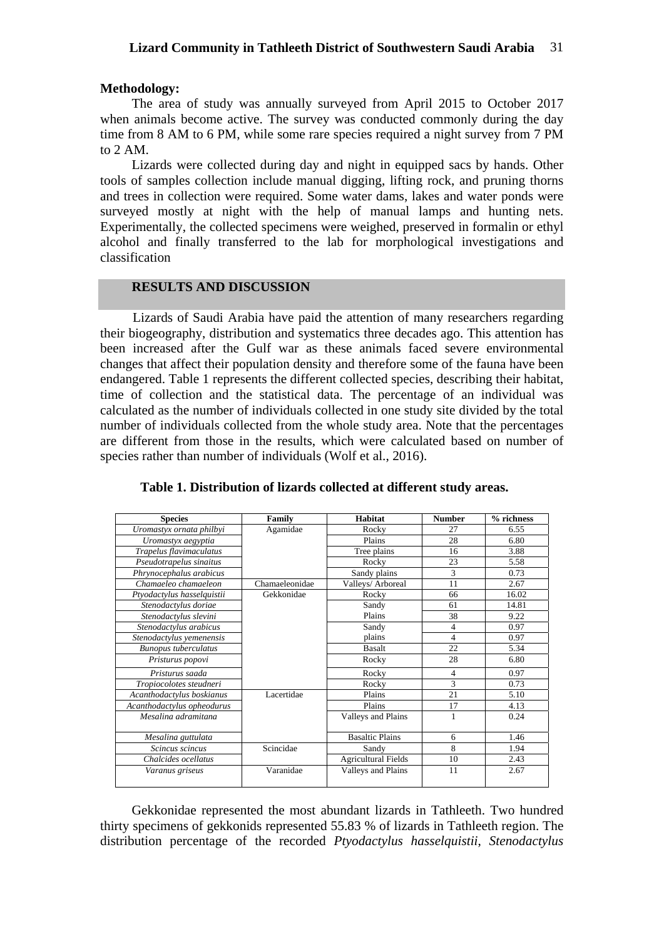# **Methodology:**

The area of study was annually surveyed from April 2015 to October 2017 when animals become active. The survey was conducted commonly during the day time from 8 AM to 6 PM, while some rare species required a night survey from 7 PM to 2 AM.

Lizards were collected during day and night in equipped sacs by hands. Other tools of samples collection include manual digging, lifting rock, and pruning thorns and trees in collection were required. Some water dams, lakes and water ponds were surveyed mostly at night with the help of manual lamps and hunting nets. Experimentally, the collected specimens were weighed, preserved in formalin or ethyl alcohol and finally transferred to the lab for morphological investigations and classification

# **RESULTS AND DISCUSSION**

 Lizards of Saudi Arabia have paid the attention of many researchers regarding their biogeography, distribution and systematics three decades ago. This attention has been increased after the Gulf war as these animals faced severe environmental changes that affect their population density and therefore some of the fauna have been endangered. Table 1 represents the different collected species, describing their habitat, time of collection and the statistical data. The percentage of an individual was calculated as the number of individuals collected in one study site divided by the total number of individuals collected from the whole study area. Note that the percentages are different from those in the results, which were calculated based on number of species rather than number of individuals (Wolf et al., 2016).

| <b>Species</b>              | Family         | Habitat                    | <b>Number</b> | % richness |
|-----------------------------|----------------|----------------------------|---------------|------------|
| Uromastyx ornata philbyi    | Agamidae       | Rocky                      | 27            | 6.55       |
| Uromastyx aegyptia          |                | Plains                     | 28            | 6.80       |
| Trapelus flavimaculatus     |                | Tree plains                | 16            | 3.88       |
| Pseudotrapelus sinaitus     |                | Rocky                      | 23            | 5.58       |
| Phrynocephalus arabicus     |                | Sandy plains               | 3             | 0.73       |
| Chamaeleo chamaeleon        | Chamaeleonidae | Valleys/ Arboreal          | 11            | 2.67       |
| Ptyodactylus hasselquistii  | Gekkonidae     | Rocky                      | 66            | 16.02      |
| Stenodactylus doriae        |                | Sandy                      | 61            | 14.81      |
| Stenodactylus slevini       |                | Plains                     | 38            | 9.22       |
| Stenodactylus arabicus      |                | Sandy                      | 4             | 0.97       |
| Stenodactylus yemenensis    |                | plains                     | 4             | 0.97       |
| <b>Bunopus tuberculatus</b> |                | <b>Basalt</b>              | 22            | 5.34       |
| Pristurus popovi            |                | Rocky                      | 28            | 6.80       |
| Pristurus saada             |                | Rocky                      | 4             | 0.97       |
| Tropiocolotes steudneri     |                | Rocky                      | 3             | 0.73       |
| Acanthodactylus boskianus   | Lacertidae     | Plains                     | 21            | 5.10       |
| Acanthodactylus opheodurus  |                | Plains                     | 17            | 4.13       |
| Mesalina adramitana         |                | Valleys and Plains         | 1             | 0.24       |
| Mesalina guttulata          |                | <b>Basaltic Plains</b>     | 6             | 1.46       |
| Scincus scincus             | Scincidae      | Sandy                      | 8             | 1.94       |
| Chalcides ocellatus         |                | <b>Agricultural Fields</b> | 10            | 2.43       |
| Varanus griseus             | Varanidae      | Valleys and Plains         | 11            | 2.67       |

**Table 1. Distribution of lizards collected at different study areas.** 

Gekkonidae represented the most abundant lizards in Tathleeth. Two hundred thirty specimens of gekkonids represented 55.83 % of lizards in Tathleeth region. The distribution percentage of the recorded *Ptyodactylus hasselquistii*, *Stenodactylus*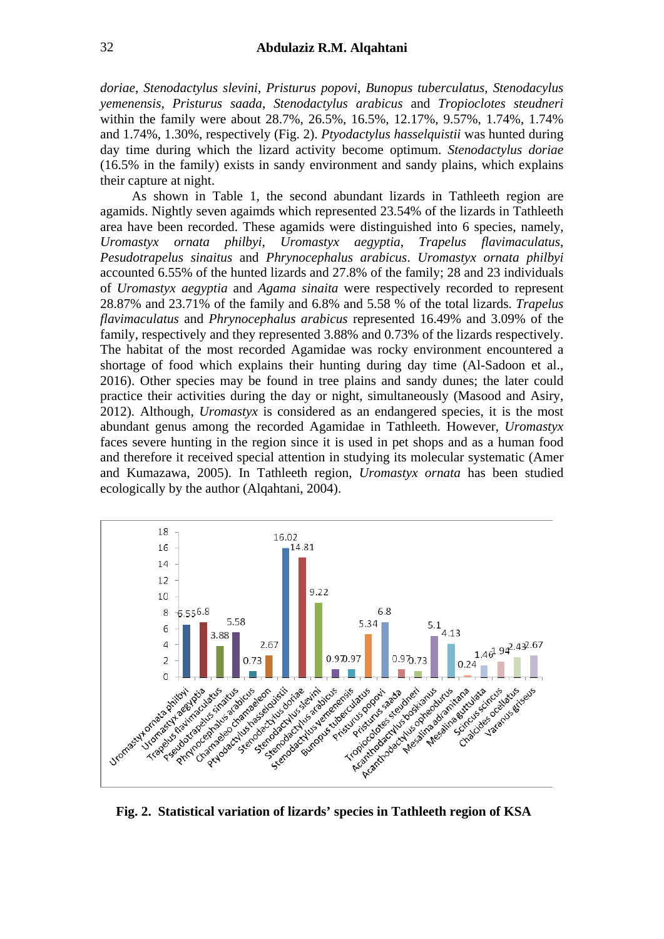*doriae*, *Stenodactylus slevini*, *Pristurus popovi*, *Bunopus tuberculatus*, *Stenodacylus yemenensis*, *Pristurus saada*, *Stenodactylus arabicus* and *Tropioclotes steudneri*  within the family were about 28.7%, 26.5%, 16.5%, 12.17%, 9.57%, 1.74%, 1.74% and 1.74%, 1.30%, respectively (Fig. 2). *Ptyodactylus hasselquistii* was hunted during day time during which the lizard activity become optimum. *Stenodactylus doriae* (16.5% in the family) exists in sandy environment and sandy plains, which explains their capture at night.

As shown in Table 1, the second abundant lizards in Tathleeth region are agamids. Nightly seven agaimds which represented 23.54% of the lizards in Tathleeth area have been recorded. These agamids were distinguished into 6 species, namely, *Uromastyx ornata philbyi*, *Uromastyx aegyptia*, *Trapelus flavimaculatus*, *Pesudotrapelus sinaitus* and *Phrynocephalus arabicus*. *Uromastyx ornata philbyi* accounted 6.55% of the hunted lizards and 27.8% of the family; 28 and 23 individuals of *Uromastyx aegyptia* and *Agama sinaita* were respectively recorded to represent 28.87% and 23.71% of the family and 6.8% and 5.58 % of the total lizards. *Trapelus flavimaculatus* and *Phrynocephalus arabicus* represented 16.49% and 3.09% of the family, respectively and they represented 3.88% and 0.73% of the lizards respectively. The habitat of the most recorded Agamidae was rocky environment encountered a shortage of food which explains their hunting during day time (Al-Sadoon et al., 2016). Other species may be found in tree plains and sandy dunes; the later could practice their activities during the day or night, simultaneously (Masood and Asiry, 2012). Although, *Uromastyx* is considered as an endangered species, it is the most abundant genus among the recorded Agamidae in Tathleeth. However, *Uromastyx* faces severe hunting in the region since it is used in pet shops and as a human food and therefore it received special attention in studying its molecular systematic (Amer and Kumazawa, 2005). In Tathleeth region, *Uromastyx ornata* has been studied ecologically by the author (Alqahtani, 2004).



**Fig. 2. Statistical variation of lizards' species in Tathleeth region of KSA**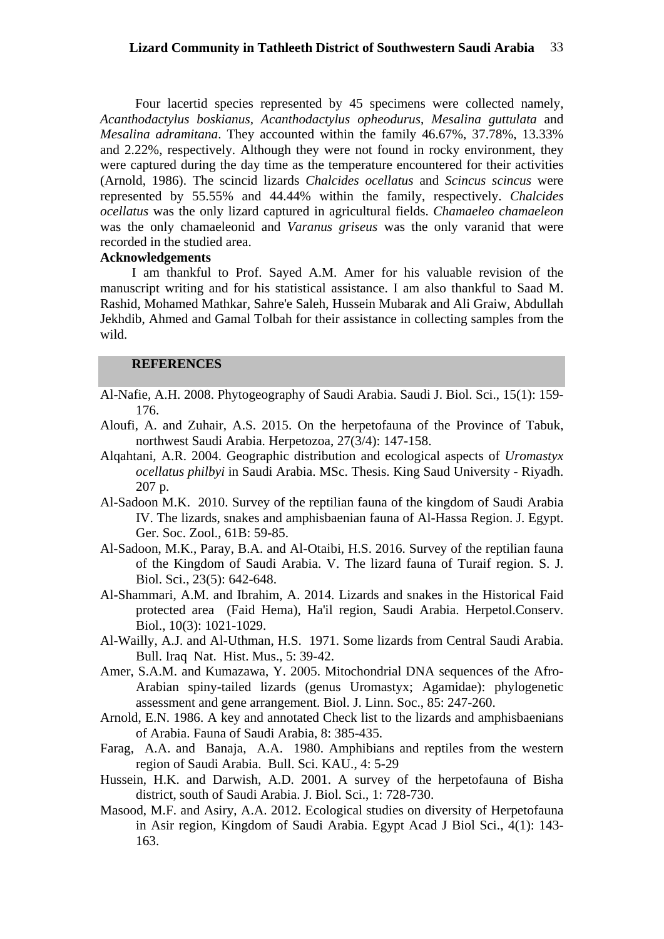Four lacertid species represented by 45 specimens were collected namely, *Acanthodactylus boskianus, Acanthodactylus opheodurus*, *Mesalina guttulata* and *Mesalina adramitana*. They accounted within the family 46.67%, 37.78%, 13.33% and 2.22%, respectively. Although they were not found in rocky environment, they were captured during the day time as the temperature encountered for their activities (Arnold, 1986). The scincid lizards *Chalcides ocellatus* and *Scincus scincus* were represented by 55.55% and 44.44% within the family, respectively. *Chalcides ocellatus* was the only lizard captured in agricultural fields. *Chamaeleo chamaeleon* was the only chamaeleonid and *Varanus griseus* was the only varanid that were recorded in the studied area.

## **Acknowledgements**

I am thankful to Prof. Sayed A.M. Amer for his valuable revision of the manuscript writing and for his statistical assistance. I am also thankful to Saad M. Rashid, Mohamed Mathkar, Sahre'e Saleh, Hussein Mubarak and Ali Graiw, Abdullah Jekhdib, Ahmed and Gamal Tolbah for their assistance in collecting samples from the wild.

### **REFERENCES**

- Al-Nafie, A.H. 2008. Phytogeography of Saudi Arabia. Saudi J. Biol. Sci., 15(1): 159- 176.
- Aloufi, A. and Zuhair, A.S. 2015. On the herpetofauna of the Province of Tabuk, northwest Saudi Arabia. Herpetozoa, 27(3/4): 147-158.
- Alqahtani, A.R. 2004. Geographic distribution and ecological aspects of *Uromastyx ocellatus philbyi* in Saudi Arabia. MSc. Thesis. King Saud University - Riyadh. 207 p.
- Al-Sadoon M.K. 2010. Survey of the reptilian fauna of the kingdom of Saudi Arabia IV. The lizards, snakes and amphisbaenian fauna of Al-Hassa Region. J. Egypt. Ger. Soc. Zool., 61B: 59-85.
- Al-Sadoon, M.K., Paray, B.A. and Al-Otaibi, H.S. 2016. Survey of the reptilian fauna of the Kingdom of Saudi Arabia. V. The lizard fauna of Turaif region. S. J. Biol. Sci., 23(5): 642-648.
- Al-Shammari, A.M. and Ibrahim, A. 2014. Lizards and snakes in the Historical Faid protected area (Faid Hema), Ha'il region, Saudi Arabia. Herpetol.Conserv. Biol., 10(3): 1021-1029.
- Al-Wailly, A.J. and Al-Uthman, H.S. 1971. Some lizards from Central Saudi Arabia. Bull. Iraq Nat. Hist. Mus., 5: 39-42.
- Amer, S.A.M. and Kumazawa, Y. 2005. Mitochondrial DNA sequences of the Afro-Arabian spiny-tailed lizards (genus Uromastyx; Agamidae): phylogenetic assessment and gene arrangement. Biol. J. Linn. Soc., 85: 247-260.
- Arnold, E.N. 1986. A key and annotated Check list to the lizards and amphisbaenians of Arabia. Fauna of Saudi Arabia, 8: 385-435.
- Farag, A.A. and Banaja, A.A. 1980. Amphibians and reptiles from the western region of Saudi Arabia. Bull. Sci. KAU., 4: 5-29
- Hussein, H.K. and Darwish, A.D. 2001. A survey of the herpetofauna of Bisha district, south of Saudi Arabia. J. Biol. Sci., 1: 728-730.
- Masood, M.F. and Asiry, A.A. 2012. Ecological studies on diversity of Herpetofauna in Asir region, Kingdom of Saudi Arabia. Egypt Acad J Biol Sci., 4(1): 143- 163.